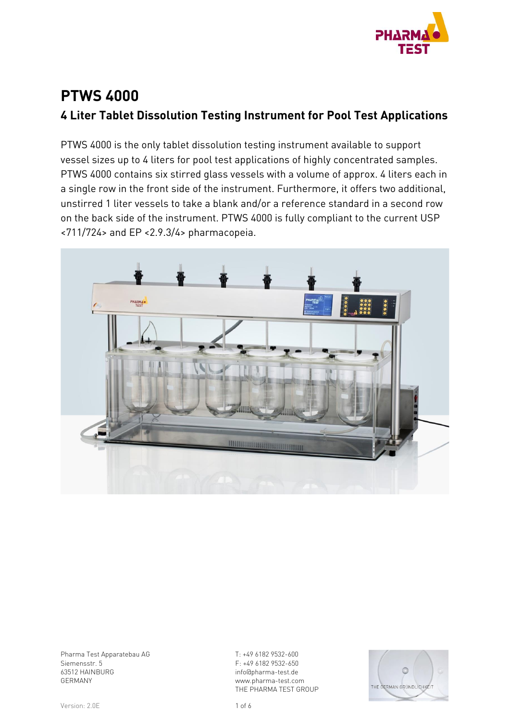

# **PTWS 4000 4 Liter Tablet Dissolution Testing Instrument for Pool Test Applications**

PTWS 4000 is the only tablet dissolution testing instrument available to support vessel sizes up to 4 liters for pool test applications of highly concentrated samples. PTWS 4000 contains six stirred glass vessels with a volume of approx. 4 liters each in a single row in the front side of the instrument. Furthermore, it offers two additional, unstirred 1 liter vessels to take a blank and/or a reference standard in a second row on the back side of the instrument. PTWS 4000 is fully compliant to the current USP <711/724> and EP <2.9.3/4> pharmacopeia.



Pharma Test Apparatebau AG Siemensstr. 5 63512 HAINBURG GERMANY

T: +49 6182 9532-600 F: +49 6182 9532-650 info@pharma-test.de www.pharma-test.com THE PHARMA TEST GROUP

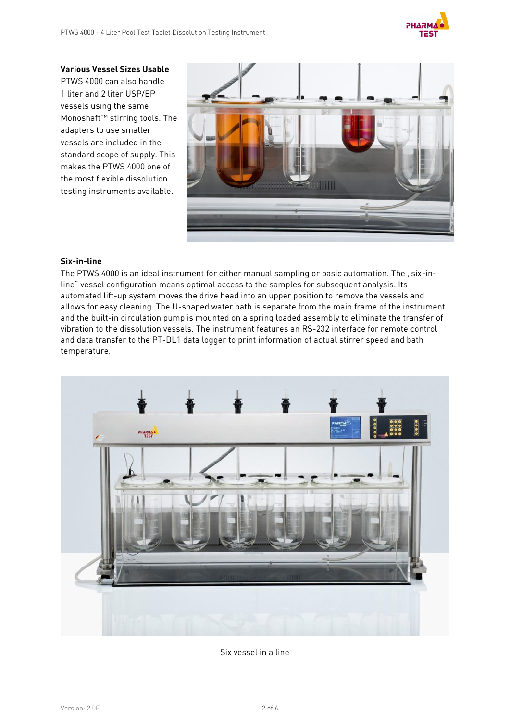

#### **Various Vessel Sizes Usable**

PTWS 4000 can also handle 1 liter and 2 liter USP/EP vessels using the same Monoshaft™ stirring tools. The adapters to use smaller vessels are included in the standard scope of supply. This makes the PTWS 4000 one of the most flexible dissolution testing instruments available.



#### **Six-in-line**

The PTWS 4000 is an ideal instrument for either manual sampling or basic automation. The "six-inline" vessel configuration means optimal access to the samples for subsequent analysis. Its automated lift-up system moves the drive head into an upper position to remove the vessels and allows for easy cleaning. The U-shaped water bath is separate from the main frame of the instrument and the built-in circulation pump is mounted on a spring loaded assembly to eliminate the transfer of vibration to the dissolution vessels. The instrument features an RS-232 interface for remote control and data transfer to the PT-DL1 data logger to print information of actual stirrer speed and bath temperature.



Six vessel in a line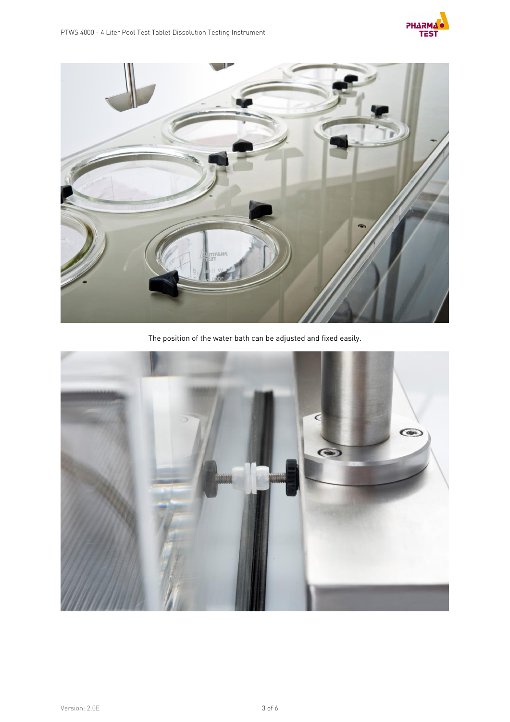



The position of the water bath can be adjusted and fixed easily.

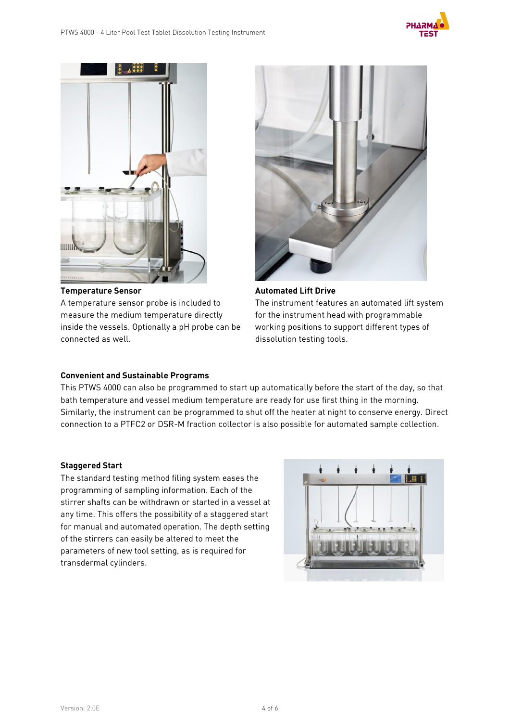



**Temperature Sensor**

A temperature sensor probe is included to measure the medium temperature directly inside the vessels. Optionally a pH probe can be connected as well.



**Automated Lift Drive**  The instrument features an automated lift system for the instrument head with programmable working positions to support different types of dissolution testing tools.

#### **Convenient and Sustainable Programs**

This PTWS 4000 can also be programmed to start up automatically before the start of the day, so that bath temperature and vessel medium temperature are ready for use first thing in the morning. Similarly, the instrument can be programmed to shut off the heater at night to conserve energy. Direct connection to a PTFC2 or DSR-M fraction collector is also possible for automated sample collection.

#### **Staggered Start**

The standard testing method filing system eases the programming of sampling information. Each of the stirrer shafts can be withdrawn or started in a vessel at any time. This offers the possibility of a staggered start for manual and automated operation. The depth setting of the stirrers can easily be altered to meet the parameters of new tool setting, as is required for transdermal cylinders.

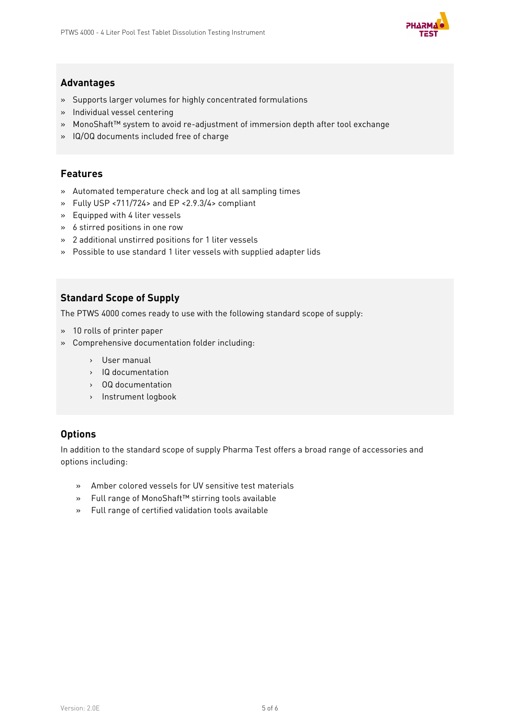

## **Advantages**

- » Supports larger volumes for highly concentrated formulations
- » Individual vessel centering
- » MonoShaft™ system to avoid re-adjustment of immersion depth after tool exchange
- » IQ/OQ documents included free of charge

## **Features**

- » Automated temperature check and log at all sampling times
- » Fully USP <711/724> and EP <2.9.3/4> compliant
- » Equipped with 4 liter vessels
- » 6 stirred positions in one row
- » 2 additional unstirred positions for 1 liter vessels
- » Possible to use standard 1 liter vessels with supplied adapter lids

## **Standard Scope of Supply**

The PTWS 4000 comes ready to use with the following standard scope of supply:

- » 10 rolls of printer paper
- » Comprehensive documentation folder including:
	- › User manual
	- › IQ documentation
	- › OQ documentation
	- › Instrument logbook

### **Options**

In addition to the standard scope of supply Pharma Test offers a broad range of accessories and options including:

- » Amber colored vessels for UV sensitive test materials
- » Full range of MonoShaft™ stirring tools available
- » Full range of certified validation tools available